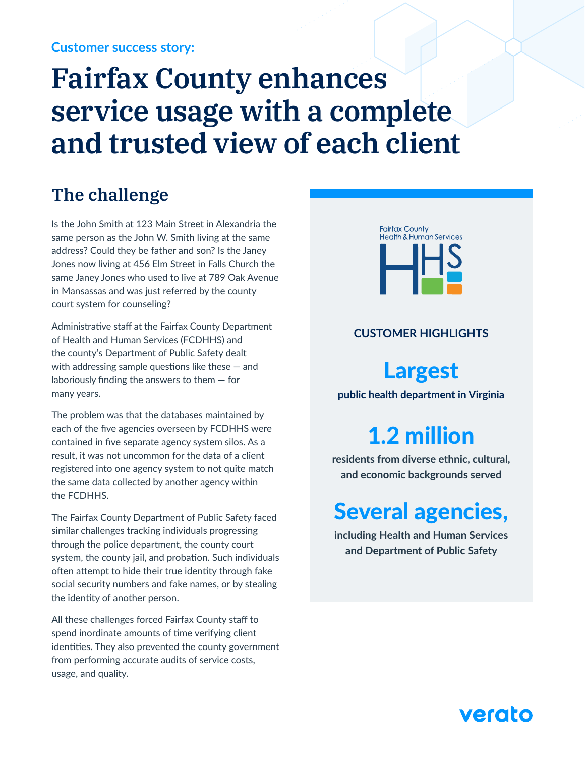#### **Customer success story:**

# **Fairfax County enhances service usage with a complete and trusted view of each client**

### **The challenge**

Is the John Smith at 123 Main Street in Alexandria the same person as the John W. Smith living at the same address? Could they be father and son? Is the Janey Jones now living at 456 Elm Street in Falls Church the same Janey Jones who used to live at 789 Oak Avenue in Mansassas and was just referred by the county court system for counseling?

Administrative staff at the Fairfax County Department of Health and Human Services (FCDHHS) and the county's Department of Public Safety dealt with addressing sample questions like these — and laboriously finding the answers to them — for many years.

The problem was that the databases maintained by each of the five agencies overseen by FCDHHS were contained in five separate agency system silos. As a result, it was not uncommon for the data of a client registered into one agency system to not quite match the same data collected by another agency within the FCDHHS.

The Fairfax County Department of Public Safety faced similar challenges tracking individuals progressing through the police department, the county court system, the county jail, and probation. Such individuals often attempt to hide their true identity through fake social security numbers and fake names, or by stealing the identity of another person.

All these challenges forced Fairfax County staff to spend inordinate amounts of time verifying client identities. They also prevented the county government from performing accurate audits of service costs, usage, and quality.



#### **CUSTOMER HIGHLIGHTS**

# Largest

**public health department in Virginia**

# 1.2 million

**residents from diverse ethnic, cultural, and economic backgrounds served**

# Several agencies,

**including Health and Human Services and Department of Public Safety**

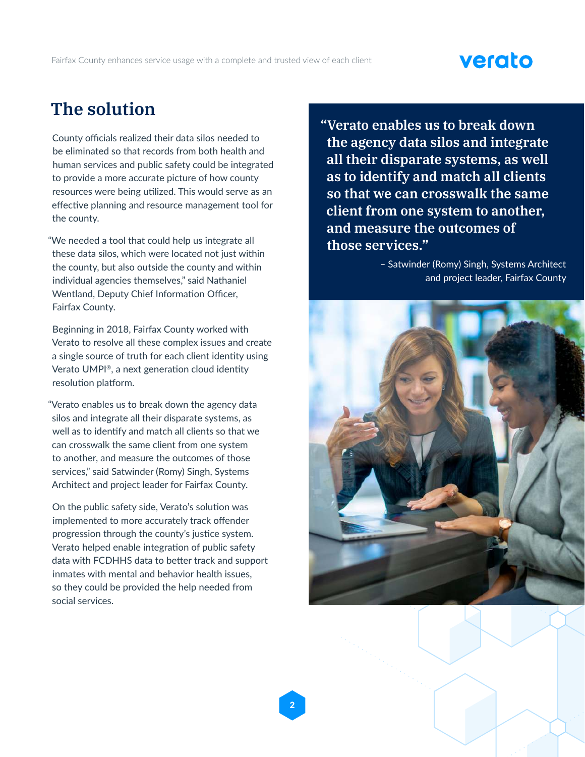## verato

### **The solution**

County officials realized their data silos needed to be eliminated so that records from both health and human services and public safety could be integrated to provide a more accurate picture of how county resources were being utilized. This would serve as an effective planning and resource management tool for the county.

"We needed a tool that could help us integrate all these data silos, which were located not just within the county, but also outside the county and within individual agencies themselves," said Nathaniel Wentland, Deputy Chief Information Officer, Fairfax County.

Beginning in 2018, Fairfax County worked with Verato to resolve all these complex issues and create a single source of truth for each client identity using Verato UMPI®, a next generation cloud identity resolution platform.

"Verato enables us to break down the agency data silos and integrate all their disparate systems, as well as to identify and match all clients so that we can crosswalk the same client from one system to another, and measure the outcomes of those services," said Satwinder (Romy) Singh, Systems Architect and project leader for Fairfax County.

On the public safety side, Verato's solution was implemented to more accurately track offender progression through the county's justice system. Verato helped enable integration of public safety data with FCDHHS data to better track and support inmates with mental and behavior health issues, so they could be provided the help needed from social services.

**"Verato enables us to break down the agency data silos and integrate all their disparate systems, as well as to identify and match all clients so that we can crosswalk the same client from one system to another, and measure the outcomes of those services."**

> – Satwinder (Romy) Singh, Systems Architect and project leader, Fairfax County



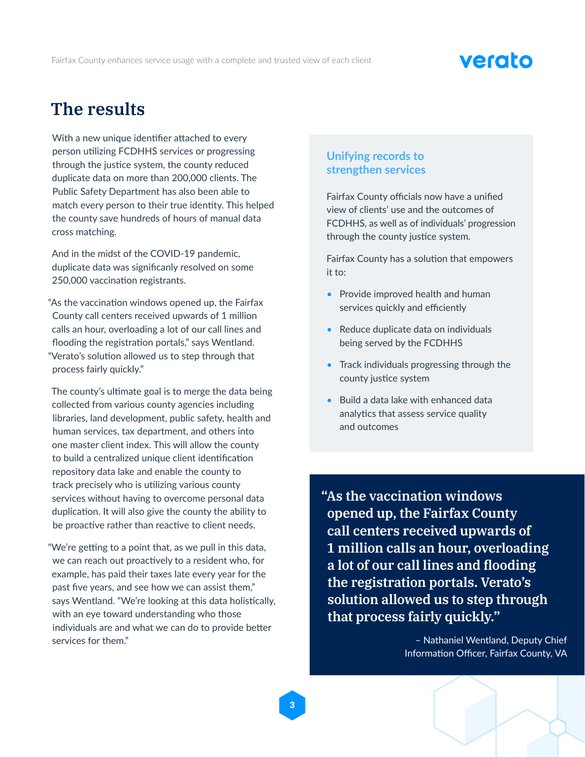# verato

### **The results**

With a new unique identifier attached to every person utilizing FCDHHS services or progressing through the justice system, the county reduced duplicate data on more than 200,000 clients. The Public Safety Department has also been able to match every person to their true identity. This helped the county save hundreds of hours of manual data cross matching.

And in the midst of the COVID-19 pandemic, duplicate data was significanly resolved on some 250,000 vaccination registrants.

"As the vaccination windows opened up, the Fairfax County call centers received upwards of 1 million calls an hour, overloading a lot of our call lines and flooding the registration portals," says Wentland. "Verato's solution allowed us to step through that process fairly quickly."

The county's ultimate goal is to merge the data being collected from various county agencies including libraries, land development, public safety, health and human services, tax department, and others into one master client index. This will allow the county to build a centralized unique client identification repository data lake and enable the county to track precisely who is utilizing various county services without having to overcome personal data duplication. It will also give the county the ability to be proactive rather than reactive to client needs.

"We're getting to a point that, as we pull in this data, we can reach out proactively to a resident who, for example, has paid their taxes late every year for the past five years, and see how we can assist them," says Wentland. "We're looking at this data holistically, with an eye toward understanding who those individuals are and what we can do to provide better services for them."

#### **Unifying records to strengthen services**

Fairfax County officials now have a unified view of clients' use and the outcomes of FCDHHS, as well as of individuals' progression through the county justice system.

Fairfax County has a solution that empowers it to:

- Provide improved health and human services quickly and efficiently
- Reduce duplicate data on individuals being served by the FCDHHS
- Track individuals progressing through the county justice system
- Build a data lake with enhanced data analytics that assess service quality and outcomes

**"As the vaccination windows opened up, the Fairfax County call centers received upwards of 1 million calls an hour, overloading a lot of our call lines and flooding the registration portals. Verato's solution allowed us to step through that process fairly quickly."**

> – Nathaniel Wentland, Deputy Chief Information Officer, Fairfax County, VA